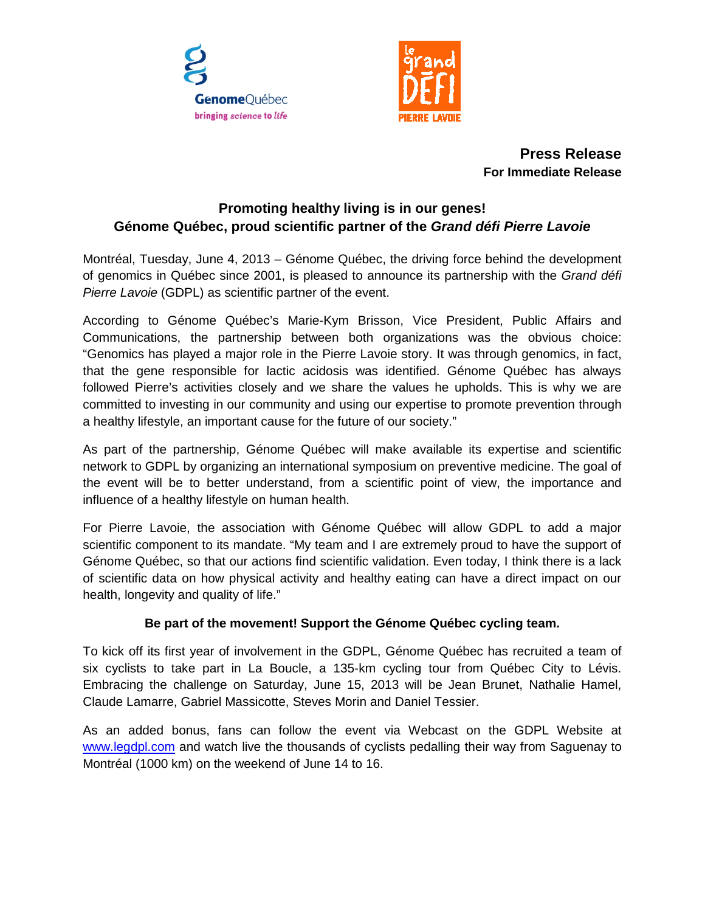



**Press Release For Immediate Release**

# **Promoting healthy living is in our genes! Génome Québec, proud scientific partner of the** *Grand défi Pierre Lavoie*

Montréal, Tuesday, June 4, 2013 – Génome Québec, the driving force behind the development of genomics in Québec since 2001, is pleased to announce its partnership with the *Grand défi Pierre Lavoie* (GDPL) as scientific partner of the event.

According to Génome Québec's Marie-Kym Brisson, Vice President, Public Affairs and Communications, the partnership between both organizations was the obvious choice: "Genomics has played a major role in the Pierre Lavoie story. It was through genomics, in fact, that the gene responsible for lactic acidosis was identified. Génome Québec has always followed Pierre's activities closely and we share the values he upholds. This is why we are committed to investing in our community and using our expertise to promote prevention through a healthy lifestyle, an important cause for the future of our society."

As part of the partnership, Génome Québec will make available its expertise and scientific network to GDPL by organizing an international symposium on preventive medicine. The goal of the event will be to better understand, from a scientific point of view, the importance and influence of a healthy lifestyle on human health.

For Pierre Lavoie, the association with Génome Québec will allow GDPL to add a major scientific component to its mandate. "My team and I are extremely proud to have the support of Génome Québec, so that our actions find scientific validation. Even today, I think there is a lack of scientific data on how physical activity and healthy eating can have a direct impact on our health, longevity and quality of life."

# **Be part of the movement! Support the Génome Québec cycling team.**

To kick off its first year of involvement in the GDPL, Génome Québec has recruited a team of six cyclists to take part in La Boucle, a 135-km cycling tour from Québec City to Lévis. Embracing the challenge on Saturday, June 15, 2013 will be Jean Brunet, Nathalie Hamel, Claude Lamarre, Gabriel Massicotte, Steves Morin and Daniel Tessier.

As an added bonus, fans can follow the event via Webcast on the GDPL Website at [www.legdpl.com](http://www.legdpl.com/) and watch live the thousands of cyclists pedalling their way from Saguenay to Montréal (1000 km) on the weekend of June 14 to 16.